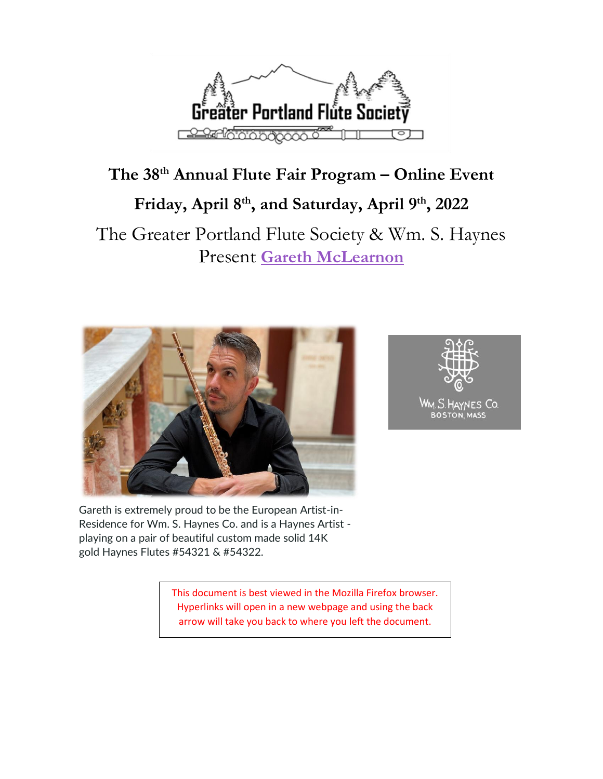

# **The 38 th Annual Flute Fair Program – Online Event Friday, April 8th, and Saturday, April 9 th, 2022**

# The Greater Portland Flute Society & Wm. S. Haynes Present **[Gareth McLearnon](http://www.garethmclearnon.com/)**





Gareth is extremely proud to be the European Artist-in-Residence for Wm. S. Haynes Co. and is a Haynes Artist playing on a pair of beautiful custom made solid 14K gold Haynes Flutes #54321 & #54322.

> This document is best viewed in the Mozilla Firefox browser. Hyperlinks will open in a new webpage and using the back arrow will take you back to where you left the document.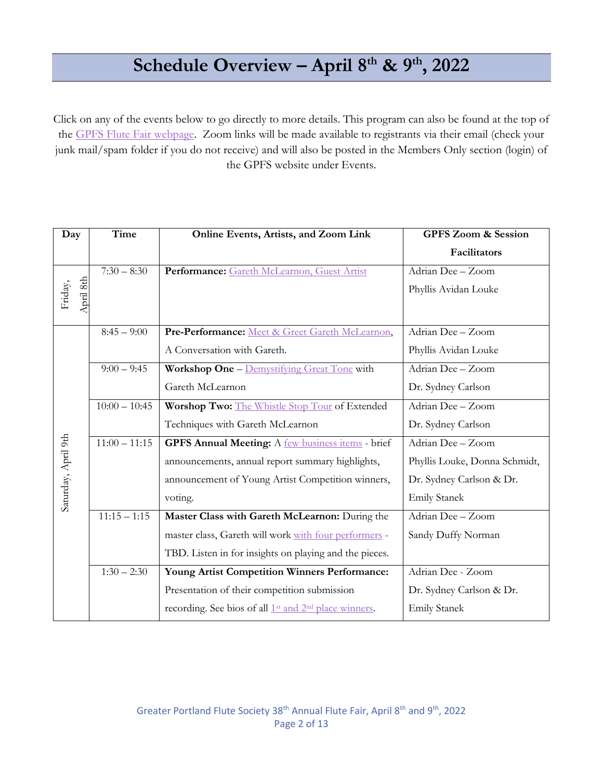# **Schedule Overview – April 8 th & 9 th , 2022**

Click on any of the events below to go directly to more details. This program can also be found at the top of the [GPFS Flute Fair webpage.](https://greaterportlandflutesociety.wildapricot.org/Flute-Fair) Zoom links will be made available to registrants via their email (check your junk mail/spam folder if you do not receive) and will also be posted in the Members Only section (login) of the GPFS website under Events.

| Day                  | Time            | Online Events, Artists, and Zoom Link                                         | <b>GPFS Zoom &amp; Session</b> |
|----------------------|-----------------|-------------------------------------------------------------------------------|--------------------------------|
|                      |                 |                                                                               | Facilitators                   |
| April 8th<br>Friday, | $7:30 - 8:30$   | Performance: Gareth McLearnon, Guest Artist                                   | Adrian Dee - Zoom              |
|                      |                 |                                                                               | Phyllis Avidan Louke           |
|                      |                 |                                                                               |                                |
| Saturday, April 9th  | $8:45 - 9:00$   | Pre-Performance: Meet & Greet Gareth McLearnon,                               | Adrian Dee - Zoom              |
|                      |                 | A Conversation with Gareth.                                                   | Phyllis Avidan Louke           |
|                      | $9:00 - 9:45$   | Workshop One - Demystifying Great Tone with                                   | Adrian Dee - Zoom              |
|                      |                 | Gareth McLearnon                                                              | Dr. Sydney Carlson             |
|                      | $10:00 - 10:45$ | Worshop Two: The Whistle Stop Tour of Extended                                | Adrian Dee - Zoom              |
|                      |                 | Techniques with Gareth McLearnon                                              | Dr. Sydney Carlson             |
|                      | $11:00 - 11:15$ | <b>GPFS Annual Meeting:</b> A <b>few business items</b> - brief               | Adrian Dee - Zoom              |
|                      |                 | announcements, annual report summary highlights,                              | Phyllis Louke, Donna Schmidt,  |
|                      |                 | announcement of Young Artist Competition winners,                             | Dr. Sydney Carlson & Dr.       |
|                      |                 | voting.                                                                       | <b>Emily Stanek</b>            |
|                      | $11:15 - 1:15$  | Master Class with Gareth McLearnon: During the                                | Adrian Dee - Zoom              |
|                      |                 | master class, Gareth will work with four performers -                         | Sandy Duffy Norman             |
|                      |                 | TBD. Listen in for insights on playing and the pieces.                        |                                |
|                      | $1:30 - 2:30$   | <b>Young Artist Competition Winners Performance:</b>                          | Adrian Dee - Zoom              |
|                      |                 | Presentation of their competition submission                                  | Dr. Sydney Carlson & Dr.       |
|                      |                 | recording. See bios of all 1 <sup>st</sup> and 2 <sup>nd</sup> place winners. | <b>Emily Stanek</b>            |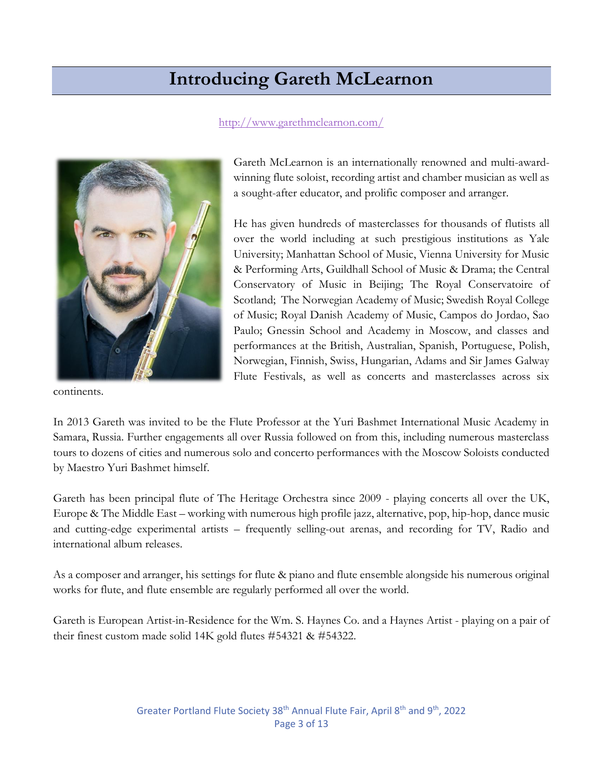# **Introducing Gareth McLearnon**

#### <http://www.garethmclearnon.com/>

<span id="page-2-0"></span>

continents.

Gareth McLearnon is an internationally renowned and multi-awardwinning flute soloist, recording artist and chamber musician as well as a sought-after educator, and prolific composer and arranger.

He has given hundreds of masterclasses for thousands of flutists all over the world including at such prestigious institutions as Yale University; Manhattan School of Music, Vienna University for Music & Performing Arts, Guildhall School of Music & Drama; the Central Conservatory of Music in Beijing; The Royal Conservatoire of Scotland; The Norwegian Academy of Music; Swedish Royal College of Music; Royal Danish Academy of Music, Campos do Jordao, Sao Paulo; Gnessin School and Academy in Moscow, and classes and performances at the British, Australian, Spanish, Portuguese, Polish, Norwegian, Finnish, Swiss, Hungarian, Adams and Sir James Galway Flute Festivals, as well as concerts and masterclasses across six

In 2013 Gareth was invited to be the Flute Professor at the Yuri Bashmet International Music Academy in Samara, Russia. Further engagements all over Russia followed on from this, including numerous masterclass tours to dozens of cities and numerous solo and concerto performances with the Moscow Soloists conducted by Maestro Yuri Bashmet himself.

Gareth has been principal flute of The Heritage Orchestra since 2009 - playing concerts all over the UK, Europe & The Middle East – working with numerous high profile jazz, alternative, pop, hip-hop, dance music and cutting-edge experimental artists – frequently selling-out arenas, and recording for TV, Radio and international album releases.

As a composer and arranger, his settings for flute & piano and flute ensemble alongside his numerous original works for flute, and flute ensemble are regularly performed all over the world.

Gareth is European Artist-in-Residence for the Wm. S. Haynes Co. and a Haynes Artist - playing on a pair of their finest custom made solid 14K gold flutes #54321 & #54322.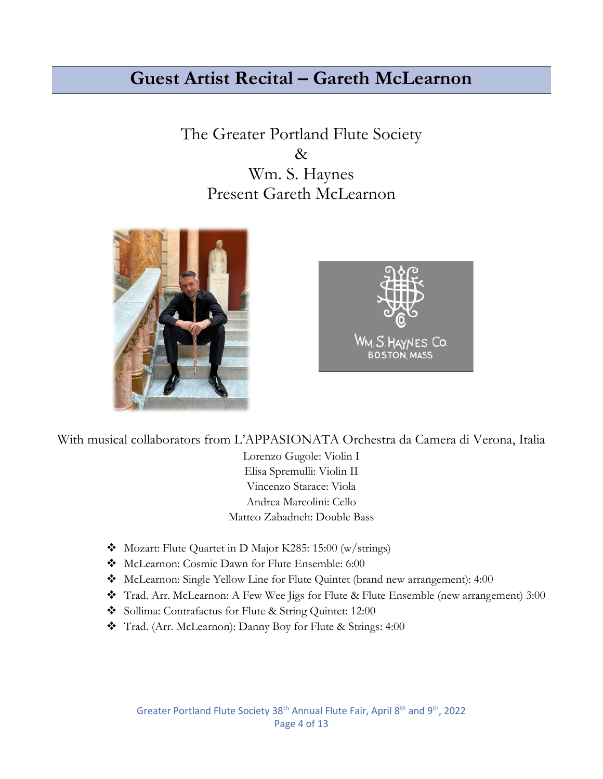# <span id="page-3-0"></span>**Guest Artist Recital – Gareth McLearnon**

The Greater Portland Flute Society & Wm. S. Haynes Present Gareth McLearnon





With musical collaborators from L'APPASIONATA Orchestra da Camera di Verona, Italia

Lorenzo Gugole: Violin I Elisa Spremulli: Violin II Vincenzo Starace: Viola Andrea Marcolini: Cello Matteo Zabadneh: Double Bass

- ❖ Mozart: Flute Quartet in D Major K285: 15:00 (w/strings)
- ❖ McLearnon: Cosmic Dawn for Flute Ensemble: 6:00
- ❖ McLearnon: Single Yellow Line for Flute Quintet (brand new arrangement): 4:00
- ❖ Trad. Arr. McLearnon: A Few Wee Jigs for Flute & Flute Ensemble (new arrangement) 3:00
- ❖ Sollima: Contrafactus for Flute & String Quintet: 12:00
- ❖ Trad. (Arr. McLearnon): Danny Boy for Flute & Strings: 4:00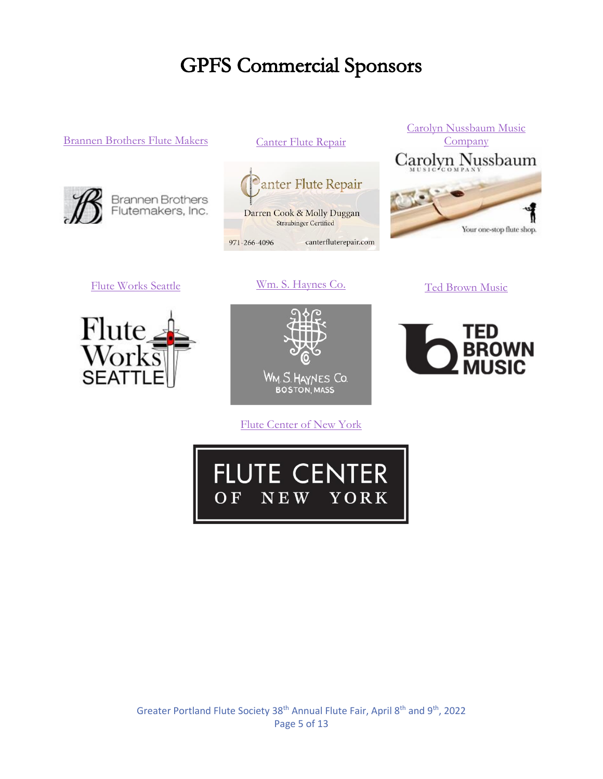# **GPFS Commercial Sponsors**

#### [Brannen Brothers Flute Makers](https://www.brannenflutes.com/) [Canter Flute Repair](https://www.canterfluterepair.com/)



Brannen Brothers<br>Flutemakers, Inc.



971-266-4096 canterfluterepair.com

[Carolyn Nussbaum Music](https://www.flute4u.com/)  **[Company](https://www.flute4u.com/)** Carolyn Nussbaum Your one-stop flute shop.

TED

**BROWN** 

[Flute Works Seattle](https://fluteworksseattle.com/) [Wm. S. Haynes Co.](https://www.wmshaynes.com/) [Ted Brown Music](https://tedbrownmusic.com/)





[Flute Center of New York](https://flutecenter.com/)

<span id="page-4-0"></span>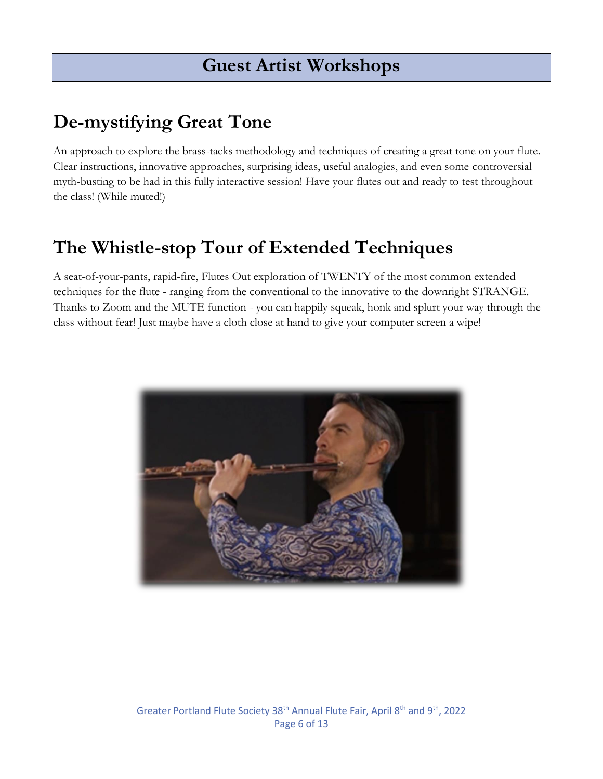# **Guest Artist Workshops**

# **De-mystifying Great Tone**

An approach to explore the brass-tacks methodology and techniques of creating a great tone on your flute. Clear instructions, innovative approaches, surprising ideas, useful analogies, and even some controversial myth-busting to be had in this fully interactive session! Have your flutes out and ready to test throughout the class! (While muted!)

# **The Whistle-stop Tour of Extended Techniques**

A seat-of-your-pants, rapid-fire, Flutes Out exploration of TWENTY of the most common extended techniques for the flute - ranging from the conventional to the innovative to the downright STRANGE. Thanks to Zoom and the MUTE function - you can happily squeak, honk and splurt your way through the class without fear! Just maybe have a cloth close at hand to give your computer screen a wipe!

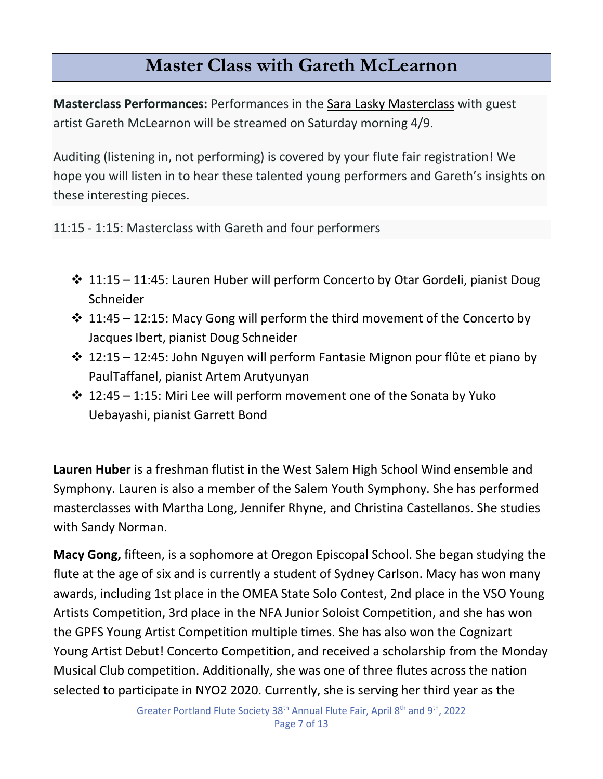# **Master Class with Gareth McLearnon**

<span id="page-6-0"></span>**Masterclass Performances:** Performances in the [Sara Lasky Masterclass](https://gpfs.org/event-4116789) with guest artist Gareth McLearnon will be streamed on Saturday morning 4/9.

Auditing (listening in, not performing) is covered by your flute fair registration! We hope you will listen in to hear these talented young performers and Gareth's insights on these interesting pieces.

11:15 - 1:15: Masterclass with Gareth and four performers

- $\cdot$  11:15 11:45: Lauren Huber will perform Concerto by Otar Gordeli, pianist Doug **Schneider**
- $\cdot$  11:45 12:15: Macy Gong will perform the third movement of the Concerto by Jacques Ibert, pianist Doug Schneider
- ❖ 12:15 12:45: John Nguyen will perform Fantasie Mignon pour flûte et piano by PaulTaffanel, pianist Artem Arutyunyan
- $\cdot$  12:45 1:15: Miri Lee will perform movement one of the Sonata by Yuko Uebayashi, pianist Garrett Bond

**Lauren Huber** is a freshman flutist in the West Salem High School Wind ensemble and Symphony. Lauren is also a member of the Salem Youth Symphony. She has performed masterclasses with Martha Long, Jennifer Rhyne, and Christina Castellanos. She studies with Sandy Norman.

**Macy Gong,** fifteen, is a sophomore at Oregon Episcopal School. She began studying the flute at the age of six and is currently a student of Sydney Carlson. Macy has won many awards, including 1st place in the OMEA State Solo Contest, 2nd place in the VSO Young Artists Competition, 3rd place in the NFA Junior Soloist Competition, and she has won the GPFS Young Artist Competition multiple times. She has also won the Cognizart Young Artist Debut! Concerto Competition, and received a scholarship from the Monday Musical Club competition. Additionally, she was one of three flutes across the nation selected to participate in NYO2 2020. Currently, she is serving her third year as the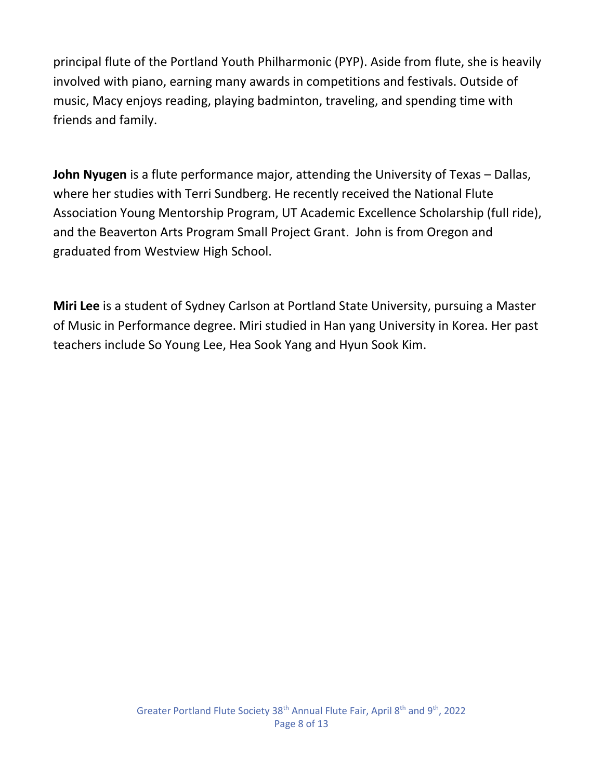principal flute of the Portland Youth Philharmonic (PYP). Aside from flute, she is heavily involved with piano, earning many awards in competitions and festivals. Outside of music, Macy enjoys reading, playing badminton, traveling, and spending time with friends and family.

**John Nyugen** is a flute performance major, attending the University of Texas – Dallas, where her studies with Terri Sundberg. He recently received the National Flute Association Young Mentorship Program, UT Academic Excellence Scholarship (full ride), and the Beaverton Arts Program Small Project Grant. John is from Oregon and graduated from Westview High School.

**Miri Lee** is a student of Sydney Carlson at Portland State University, pursuing a Master of Music in Performance degree. Miri studied in Han yang University in Korea. Her past teachers include So Young Lee, Hea Sook Yang and Hyun Sook Kim.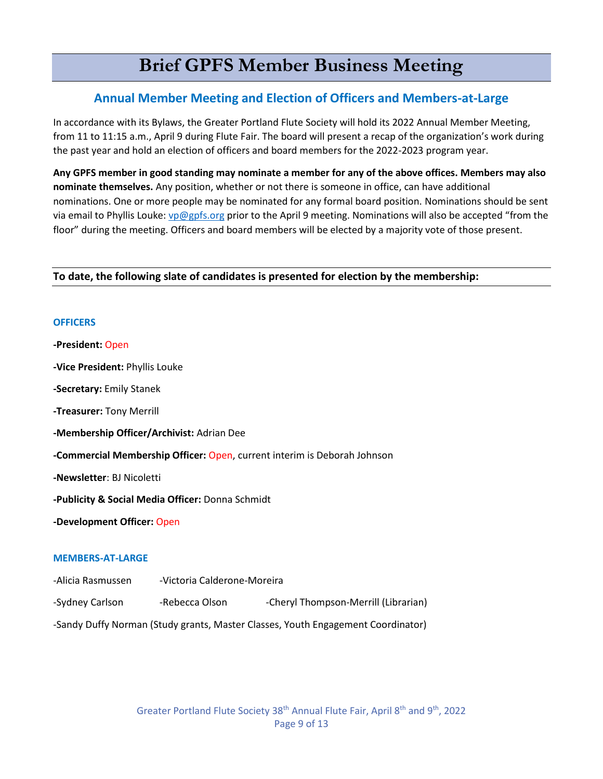# **Brief GPFS Member Business Meeting**

#### <span id="page-8-0"></span>**Annual Member Meeting and Election of Officers and Members-at-Large**

In accordance with its Bylaws, the Greater Portland Flute Society will hold its 2022 Annual Member Meeting, from 11 to 11:15 a.m., April 9 during Flute Fair. The board will present a recap of the organization's work during the past year and hold an election of officers and board members for the 2022-2023 program year.

**Any GPFS member in good standing may nominate a member for any of the above offices. Members may also nominate themselves.** Any position, whether or not there is someone in office, can have additional nominations. One or more people may be nominated for any formal board position. Nominations should be sent via email to Phyllis Louke: [vp@gpfs.org](mailto:vp@gpfs.org) prior to the April 9 meeting. Nominations will also be accepted "from the floor" during the meeting. Officers and board members will be elected by a majority vote of those present.

#### **To date, the following slate of candidates is presented for election by the membership:**

#### **OFFICERS**

| -President: Open |  |
|------------------|--|
|------------------|--|

**-Vice President:** Phyllis Louke

**-Secretary:** Emily Stanek

**-Treasurer:** Tony Merrill

**-Membership Officer/Archivist:** Adrian Dee

**-Commercial Membership Officer:** Open, current interim is Deborah Johnson

**-Newsletter**: BJ Nicoletti

**-Publicity & Social Media Officer:** Donna Schmidt

**-Development Officer:** Open

#### **MEMBERS-AT-LARGE**

-Alicia Rasmussen -Victoria Calderone-Moreira

-Sydney Carlson - Rebecca Olson - Cheryl Thompson-Merrill (Librarian)

-Sandy Duffy Norman (Study grants, Master Classes, Youth Engagement Coordinator)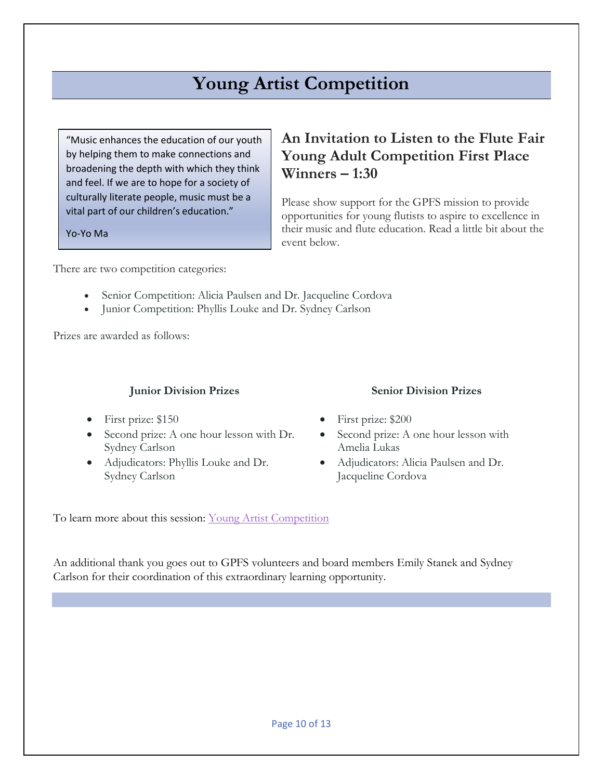# **Young Artist Competition**

<span id="page-9-0"></span>"Music enhances the education of our youth by helping them to make connections and broadening the depth with which they think and feel. If we are to hope for a society of culturally literate people, music must be a vital part of our children's education."

Yo-Yo Ma

### **An Invitation to Listen to the Flute Fair Young Adult Competition First Place Winners – 1:30**

Please show support for the GPFS mission to provide opportunities for young flutists to aspire to excellence in their music and flute education. Read a little bit about the event below.

There are two competition categories:

- Senior Competition: Alicia Paulsen and Dr. Jacqueline Cordova
- Junior Competition: Phyllis Louke and Dr. Sydney Carlson

Prizes are awarded as follows:

#### **Junior Division Prizes**

- First prize: \$150
- Second prize: A one hour lesson with Dr. Sydney Carlson
- Adjudicators: Phyllis Louke and Dr. Sydney Carlson

#### **Senior Division Prizes**

- First prize: \$200
- Second prize: A one hour lesson with Amelia Lukas
- Adjudicators: Alicia Paulsen and Dr. Jacqueline Cordova

To learn more about this session: [Young Artist Competition](https://greaterportlandflutesociety.wildapricot.org/event-4116684)

An additional thank you goes out to GPFS volunteers and board members Emily Stanek and Sydney Carlson for their coordination of this extraordinary learning opportunity.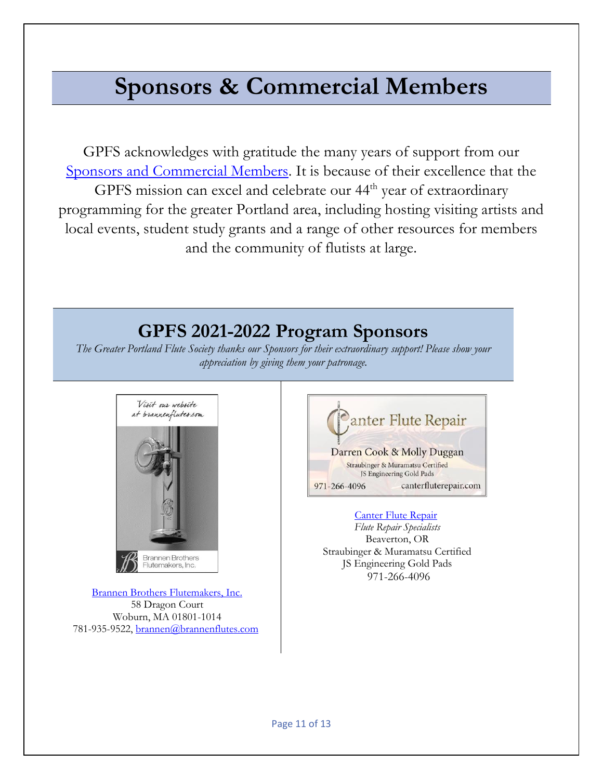# **Sponsors & Commercial Members**

GPFS acknowledges with gratitude the many years of support from our [Sponsors and Commercial Members.](https://gpfs.org/Commercial-Membership) It is because of their excellence that the GPFS mission can excel and celebrate our 44<sup>th</sup> year of extraordinary programming for the greater Portland area, including hosting visiting artists and local events, student study grants and a range of other resources for members and the community of flutists at large.

# **GPFS 2021-2022 Program Sponsors**

*The Greater Portland Flute Society thanks our Sponsors for their extraordinary support! Please show your appreciation by giving them your patronage.*



[Brannen Brothers Flutemakers, Inc.](https://www.brannenflutes.com/) 58 Dragon Court Woburn, MA 01801-1014 781-935-9522[, brannen@brannenflutes.com](mailto:brannen@brannenflutes.com)



#### **[Canter Flute Repair](https://www.canterfluterepair.com/)**

*Flute Repair Specialists* Beaverton, OR Straubinger & Muramatsu Certified JS Engineering Gold Pads 971-266-4096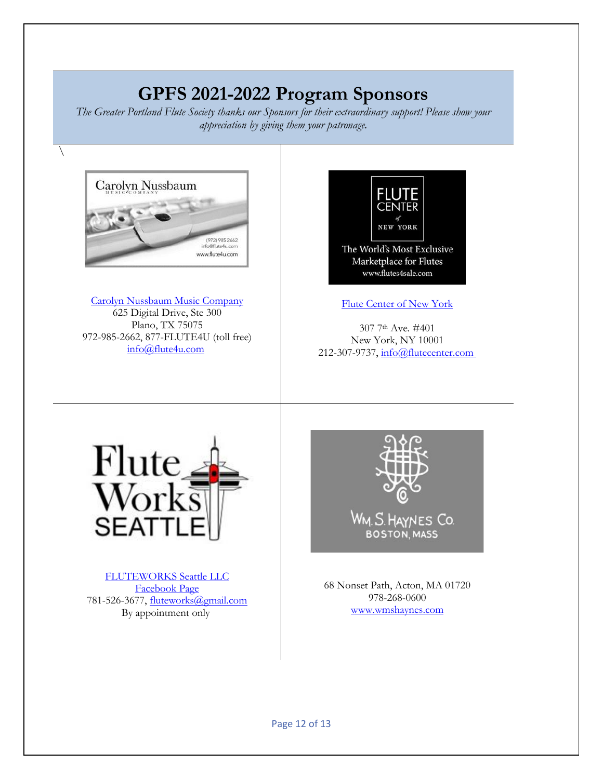# **GPFS 2021-2022 Program Sponsors**

*The Greater Portland Flute Society thanks our Sponsors for their extraordinary support! Please show your appreciation by giving them your patronage.*